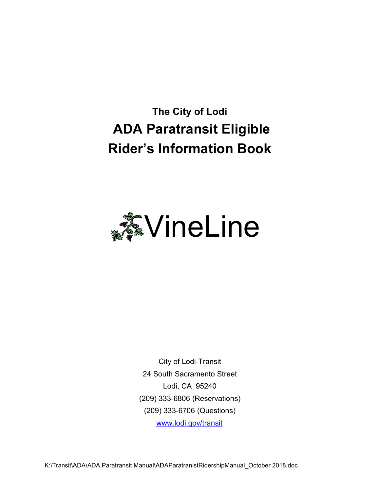# **The City of Lodi ADA Paratransit Eligible Rider's Information Book**



City of Lodi-Transit 24 South Sacramento Street Lodi, CA 95240 (209) 333-6806 (Reservations) (209) 333-6706 (Questions) www.lodi.gov/transit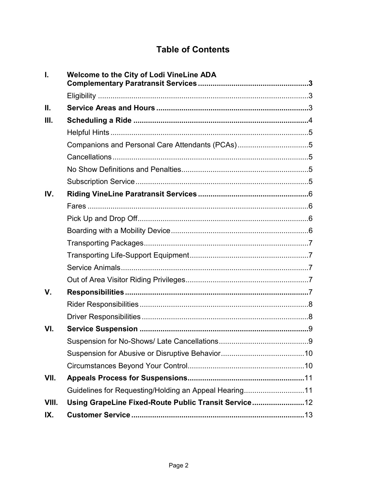# **Table of Contents**

| L.          | <b>Welcome to the City of Lodi VineLine ADA</b>       |  |
|-------------|-------------------------------------------------------|--|
|             |                                                       |  |
| II.         |                                                       |  |
| III.        |                                                       |  |
|             |                                                       |  |
|             | Companions and Personal Care Attendants (PCAs)5       |  |
|             |                                                       |  |
|             |                                                       |  |
|             |                                                       |  |
| IV.         |                                                       |  |
|             |                                                       |  |
|             |                                                       |  |
|             |                                                       |  |
|             |                                                       |  |
|             |                                                       |  |
|             |                                                       |  |
|             |                                                       |  |
| $V_{\cdot}$ |                                                       |  |
|             |                                                       |  |
|             |                                                       |  |
| VI.         |                                                       |  |
|             |                                                       |  |
|             |                                                       |  |
|             |                                                       |  |
| VII.        |                                                       |  |
|             | Guidelines for Requesting/Holding an Appeal Hearing11 |  |
| VIII.       | Using GrapeLine Fixed-Route Public Transit Service    |  |
| IX.         |                                                       |  |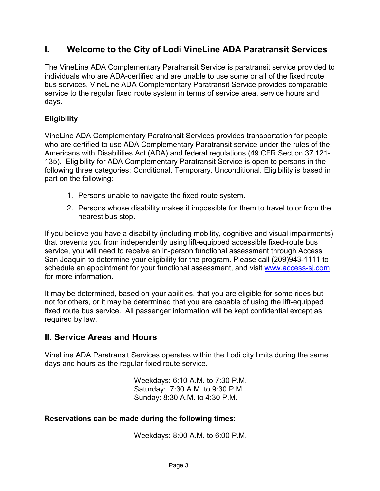# **I. Welcome to the City of Lodi VineLine ADA Paratransit Services**

The VineLine ADA Complementary Paratransit Service is paratransit service provided to individuals who are ADA-certified and are unable to use some or all of the fixed route bus services. VineLine ADA Complementary Paratransit Service provides comparable service to the regular fixed route system in terms of service area, service hours and days.

## **Eligibility**

VineLine ADA Complementary Paratransit Services provides transportation for people who are certified to use ADA Complementary Paratransit service under the rules of the Americans with Disabilities Act (ADA) and federal regulations (49 CFR Section 37.121- 135). Eligibility for ADA Complementary Paratransit Service is open to persons in the following three categories: Conditional, Temporary, Unconditional. Eligibility is based in part on the following:

- 1. Persons unable to navigate the fixed route system.
- 2. Persons whose disability makes it impossible for them to travel to or from the nearest bus stop.

If you believe you have a disability (including mobility, cognitive and visual impairments) that prevents you from independently using lift-equipped accessible fixed-route bus service, you will need to receive an in-person functional assessment through Access San Joaquin to determine your eligibility for the program. Please call (209)943-1111 to schedule an appointment for your functional assessment, and visit www.access-sj.com for more information.

It may be determined, based on your abilities, that you are eligible for some rides but not for others, or it may be determined that you are capable of using the lift-equipped fixed route bus service. All passenger information will be kept confidential except as required by law.

# **II. Service Areas and Hours**

VineLine ADA Paratransit Services operates within the Lodi city limits during the same days and hours as the regular fixed route service.

> Weekdays: 6:10 A.M. to 7:30 P.M. Saturday: 7:30 A.M. to 9:30 P.M. Sunday: 8:30 A.M. to 4:30 P.M.

#### **Reservations can be made during the following times:**

Weekdays: 8:00 A.M. to 6:00 P.M.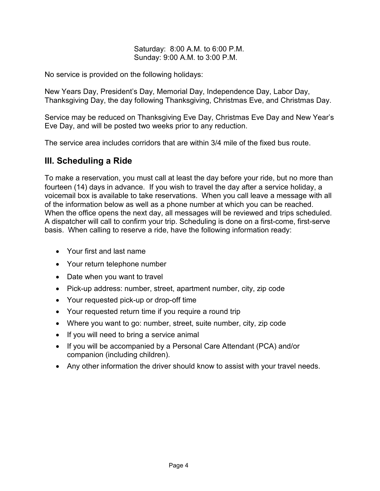#### Saturday: 8:00 A.M. to 6:00 P.M. Sunday: 9:00 A.M. to 3:00 P.M.

No service is provided on the following holidays:

New Years Day, President's Day, Memorial Day, Independence Day, Labor Day, Thanksgiving Day, the day following Thanksgiving, Christmas Eve, and Christmas Day.

Service may be reduced on Thanksgiving Eve Day, Christmas Eve Day and New Year's Eve Day, and will be posted two weeks prior to any reduction.

The service area includes corridors that are within 3/4 mile of the fixed bus route.

# **III. Scheduling a Ride**

To make a reservation, you must call at least the day before your ride, but no more than fourteen (14) days in advance. If you wish to travel the day after a service holiday, a voicemail box is available to take reservations. When you call leave a message with all of the information below as well as a phone number at which you can be reached. When the office opens the next day, all messages will be reviewed and trips scheduled. A dispatcher will call to confirm your trip. Scheduling is done on a first-come, first-serve basis. When calling to reserve a ride, have the following information ready:

- Your first and last name
- Your return telephone number
- Date when you want to travel
- Pick-up address: number, street, apartment number, city, zip code
- Your requested pick-up or drop-off time
- Your requested return time if you require a round trip
- Where you want to go: number, street, suite number, city, zip code
- If you will need to bring a service animal
- If you will be accompanied by a Personal Care Attendant (PCA) and/or companion (including children).
- Any other information the driver should know to assist with your travel needs.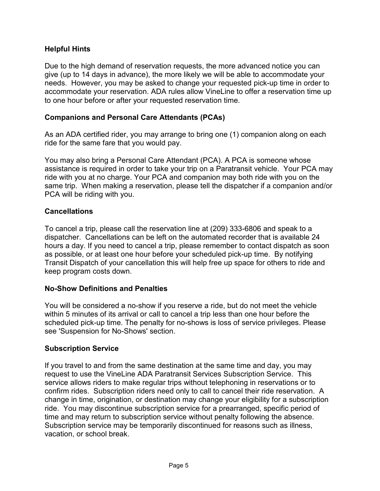### **Helpful Hints**

Due to the high demand of reservation requests, the more advanced notice you can give (up to 14 days in advance), the more likely we will be able to accommodate your needs. However, you may be asked to change your requested pick-up time in order to accommodate your reservation. ADA rules allow VineLine to offer a reservation time up to one hour before or after your requested reservation time.

#### **Companions and Personal Care Attendants (PCAs)**

As an ADA certified rider, you may arrange to bring one (1) companion along on each ride for the same fare that you would pay.

You may also bring a Personal Care Attendant (PCA). A PCA is someone whose assistance is required in order to take your trip on a Paratransit vehicle. Your PCA may ride with you at no charge. Your PCA and companion may both ride with you on the same trip. When making a reservation, please tell the dispatcher if a companion and/or PCA will be riding with you.

#### **Cancellations**

To cancel a trip, please call the reservation line at (209) 333-6806 and speak to a dispatcher. Cancellations can be left on the automated recorder that is available 24 hours a day. If you need to cancel a trip, please remember to contact dispatch as soon as possible, or at least one hour before your scheduled pick-up time. By notifying Transit Dispatch of your cancellation this will help free up space for others to ride and keep program costs down.

#### **No-Show Definitions and Penalties**

You will be considered a no-show if you reserve a ride, but do not meet the vehicle within 5 minutes of its arrival or call to cancel a trip less than one hour before the scheduled pick-up time. The penalty for no-shows is loss of service privileges. Please see 'Suspension for No-Shows' section.

#### **Subscription Service**

If you travel to and from the same destination at the same time and day, you may request to use the VineLine ADA Paratransit Services Subscription Service. This service allows riders to make regular trips without telephoning in reservations or to confirm rides. Subscription riders need only to call to cancel their ride reservation. A change in time, origination, or destination may change your eligibility for a subscription ride. You may discontinue subscription service for a prearranged, specific period of time and may return to subscription service without penalty following the absence. Subscription service may be temporarily discontinued for reasons such as illness, vacation, or school break.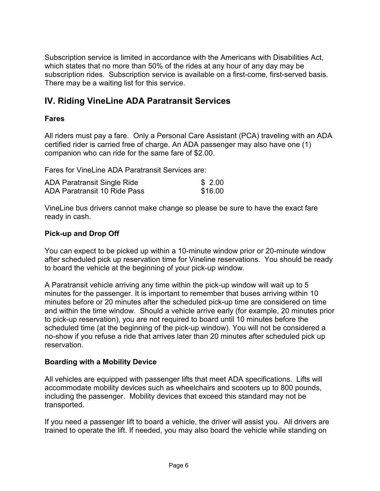Subscription service is limited in accordance with the Americans with Disabilities Act, which states that no more than 50% of the rides at any hour of any day may be subscription rides. Subscription service is available on a first-come, first-served basis. There may be a waiting list for this service.

# **IV. Riding VineLine ADA Paratransit Services**

## **Fares**

All riders must pay a fare. Only a Personal Care Assistant (PCA) traveling with an ADA certified rider is carried free of charge. An ADA passenger may also have one (1) companion who can ride for the same fare of \$2.00.

Fares for VineLine ADA Paratransit Services are:

| ADA Paratransit Single Ride  | \$2.00  |
|------------------------------|---------|
| ADA Paratransit 10 Ride Pass | \$16.00 |

VineLine bus drivers cannot make change so please be sure to have the exact fare ready in cash.

## **Pick-up and Drop Off**

You can expect to be picked up within a 10-minute window prior or 20-minute window after scheduled pick up reservation time for Vineline reservations. You should be ready to board the vehicle at the beginning of your pick-up window.

A Paratransit vehicle arriving any time within the pick-up window will wait up to 5 minutes for the passenger. It is important to remember that buses arriving within 10 minutes before or 20 minutes after the scheduled pick-up time are considered on time and within the time window. Should a vehicle arrive early (for example, 20 minutes prior to pick-up reservation), you are not required to board until 10 minutes before the scheduled time (at the beginning of the pick-up window). You will not be considered a no-show if you refuse a ride that arrives later than 20 minutes after scheduled pick up reservation.

### **Boarding with a Mobility Device**

All vehicles are equipped with passenger lifts that meet ADA specifications. Lifts will accommodate mobility devices such as wheelchairs and scooters up to 800 pounds, including the passenger. Mobility devices that exceed this standard may not be transported.

If you need a passenger lift to board a vehicle, the driver will assist you. All drivers are trained to operate the lift. If needed, you may also board the vehicle while standing on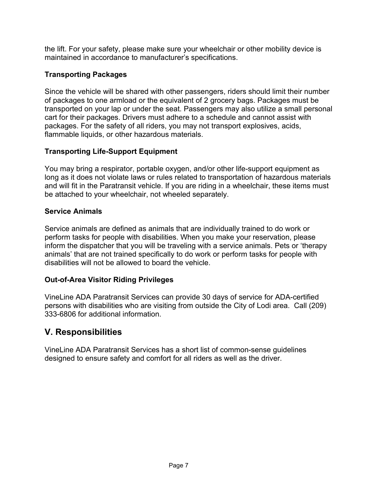the lift. For your safety, please make sure your wheelchair or other mobility device is maintained in accordance to manufacturer's specifications.

## **Transporting Packages**

Since the vehicle will be shared with other passengers, riders should limit their number of packages to one armload or the equivalent of 2 grocery bags. Packages must be transported on your lap or under the seat. Passengers may also utilize a small personal cart for their packages. Drivers must adhere to a schedule and cannot assist with packages. For the safety of all riders, you may not transport explosives, acids, flammable liquids, or other hazardous materials.

## **Transporting Life-Support Equipment**

You may bring a respirator, portable oxygen, and/or other life-support equipment as long as it does not violate laws or rules related to transportation of hazardous materials and will fit in the Paratransit vehicle. If you are riding in a wheelchair, these items must be attached to your wheelchair, not wheeled separately.

## **Service Animals**

Service animals are defined as animals that are individually trained to do work or perform tasks for people with disabilities. When you make your reservation, please inform the dispatcher that you will be traveling with a service animals. Pets or 'therapy animals' that are not trained specifically to do work or perform tasks for people with disabilities will not be allowed to board the vehicle.

## **Out-of-Area Visitor Riding Privileges**

VineLine ADA Paratransit Services can provide 30 days of service for ADA-certified persons with disabilities who are visiting from outside the City of Lodi area. Call (209) 333-6806 for additional information.

# **V. Responsibilities**

VineLine ADA Paratransit Services has a short list of common-sense guidelines designed to ensure safety and comfort for all riders as well as the driver.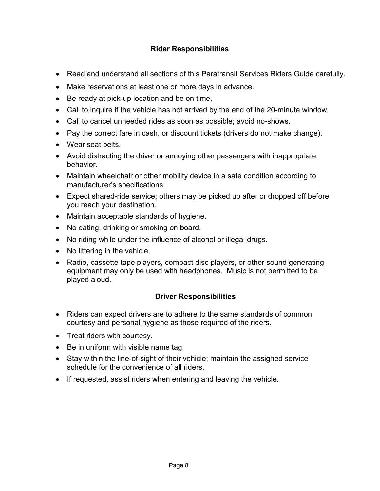## **Rider Responsibilities**

- Read and understand all sections of this Paratransit Services Riders Guide carefully.
- Make reservations at least one or more days in advance.
- Be ready at pick-up location and be on time.
- Call to inquire if the vehicle has not arrived by the end of the 20-minute window.
- Call to cancel unneeded rides as soon as possible; avoid no-shows.
- Pay the correct fare in cash, or discount tickets (drivers do not make change).
- Wear seat belts
- Avoid distracting the driver or annoying other passengers with inappropriate behavior.
- Maintain wheelchair or other mobility device in a safe condition according to manufacturer's specifications.
- Expect shared-ride service; others may be picked up after or dropped off before you reach your destination.
- Maintain acceptable standards of hygiene.
- No eating, drinking or smoking on board.
- No riding while under the influence of alcohol or illegal drugs.
- No littering in the vehicle.
- Radio, cassette tape players, compact disc players, or other sound generating equipment may only be used with headphones. Music is not permitted to be played aloud.

### **Driver Responsibilities**

- Riders can expect drivers are to adhere to the same standards of common courtesy and personal hygiene as those required of the riders.
- Treat riders with courtesy.
- Be in uniform with visible name tag.
- Stay within the line-of-sight of their vehicle; maintain the assigned service schedule for the convenience of all riders.
- If requested, assist riders when entering and leaving the vehicle.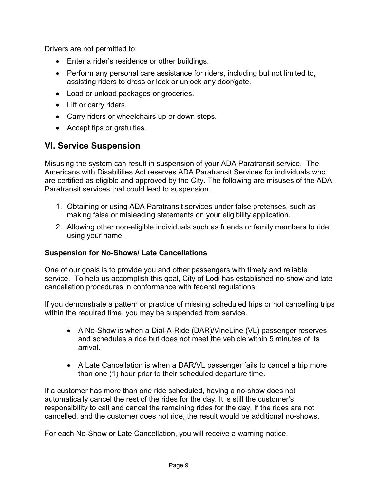Drivers are not permitted to:

- Enter a rider's residence or other buildings.
- Perform any personal care assistance for riders, including but not limited to, assisting riders to dress or lock or unlock any door/gate.
- Load or unload packages or groceries.
- Lift or carry riders.
- Carry riders or wheelchairs up or down steps.
- Accept tips or gratuities.

# **VI. Service Suspension**

Misusing the system can result in suspension of your ADA Paratransit service. The Americans with Disabilities Act reserves ADA Paratransit Services for individuals who are certified as eligible and approved by the City. The following are misuses of the ADA Paratransit services that could lead to suspension.

- 1. Obtaining or using ADA Paratransit services under false pretenses, such as making false or misleading statements on your eligibility application.
- 2. Allowing other non-eligible individuals such as friends or family members to ride using your name.

### **Suspension for No-Shows/ Late Cancellations**

One of our goals is to provide you and other passengers with timely and reliable service. To help us accomplish this goal, City of Lodi has established no-show and late cancellation procedures in conformance with federal regulations.

If you demonstrate a pattern or practice of missing scheduled trips or not cancelling trips within the required time, you may be suspended from service.

- A No-Show is when a Dial-A-Ride (DAR)/VineLine (VL) passenger reserves and schedules a ride but does not meet the vehicle within 5 minutes of its arrival.
- A Late Cancellation is when a DAR/VL passenger fails to cancel a trip more than one (1) hour prior to their scheduled departure time.

If a customer has more than one ride scheduled, having a no-show does not automatically cancel the rest of the rides for the day. It is still the customer's responsibility to call and cancel the remaining rides for the day. If the rides are not cancelled, and the customer does not ride, the result would be additional no-shows.

For each No-Show or Late Cancellation, you will receive a warning notice.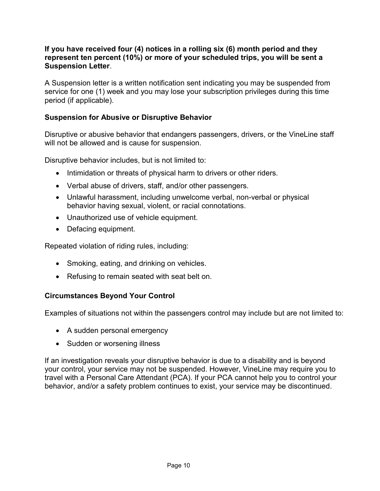#### **If you have received four (4) notices in a rolling six (6) month period and they represent ten percent (10%) or more of your scheduled trips, you will be sent a Suspension Letter**.

A Suspension letter is a written notification sent indicating you may be suspended from service for one (1) week and you may lose your subscription privileges during this time period (if applicable).

## **Suspension for Abusive or Disruptive Behavior**

Disruptive or abusive behavior that endangers passengers, drivers, or the VineLine staff will not be allowed and is cause for suspension.

Disruptive behavior includes, but is not limited to:

- Intimidation or threats of physical harm to drivers or other riders.
- Verbal abuse of drivers, staff, and/or other passengers.
- Unlawful harassment, including unwelcome verbal, non-verbal or physical behavior having sexual, violent, or racial connotations.
- Unauthorized use of vehicle equipment.
- Defacing equipment.

Repeated violation of riding rules, including:

- Smoking, eating, and drinking on vehicles.
- Refusing to remain seated with seat belt on.

### **Circumstances Beyond Your Control**

Examples of situations not within the passengers control may include but are not limited to:

- A sudden personal emergency
- Sudden or worsening illness

If an investigation reveals your disruptive behavior is due to a disability and is beyond your control, your service may not be suspended. However, VineLine may require you to travel with a Personal Care Attendant (PCA). If your PCA cannot help you to control your behavior, and/or a safety problem continues to exist, your service may be discontinued.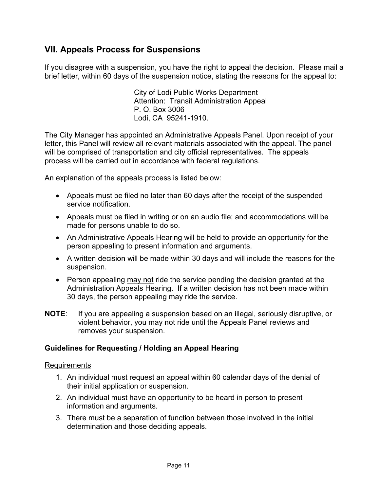# **VII. Appeals Process for Suspensions**

If you disagree with a suspension, you have the right to appeal the decision. Please mail a brief letter, within 60 days of the suspension notice, stating the reasons for the appeal to:

> City of Lodi Public Works Department Attention: Transit Administration Appeal P. O. Box 3006 Lodi, CA 95241-1910.

The City Manager has appointed an Administrative Appeals Panel. Upon receipt of your letter, this Panel will review all relevant materials associated with the appeal. The panel will be comprised of transportation and city official representatives. The appeals process will be carried out in accordance with federal regulations.

An explanation of the appeals process is listed below:

- Appeals must be filed no later than 60 days after the receipt of the suspended service notification.
- Appeals must be filed in writing or on an audio file; and accommodations will be made for persons unable to do so.
- An Administrative Appeals Hearing will be held to provide an opportunity for the person appealing to present information and arguments.
- A written decision will be made within 30 days and will include the reasons for the suspension.
- Person appealing may not ride the service pending the decision granted at the Administration Appeals Hearing. If a written decision has not been made within 30 days, the person appealing may ride the service.
- **NOTE**: If you are appealing a suspension based on an illegal, seriously disruptive, or violent behavior, you may not ride until the Appeals Panel reviews and removes your suspension.

### **Guidelines for Requesting / Holding an Appeal Hearing**

#### Requirements

- 1. An individual must request an appeal within 60 calendar days of the denial of their initial application or suspension.
- 2. An individual must have an opportunity to be heard in person to present information and arguments.
- 3. There must be a separation of function between those involved in the initial determination and those deciding appeals.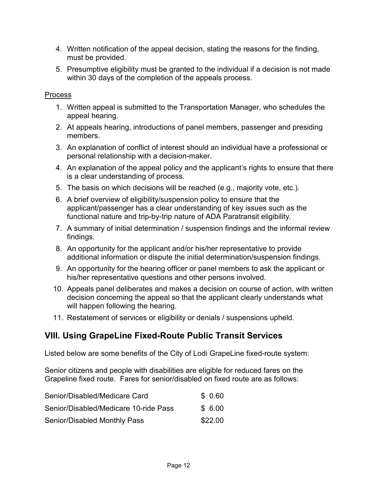- 4. Written notification of the appeal decision, stating the reasons for the finding, must be provided.
- 5. Presumptive eligibility must be granted to the individual if a decision is not made within 30 days of the completion of the appeals process.

### Process

- 1. Written appeal is submitted to the Transportation Manager, who schedules the appeal hearing.
- 2. At appeals hearing, introductions of panel members, passenger and presiding members.
- 3. An explanation of conflict of interest should an individual have a professional or personal relationship with a decision-maker.
- 4. An explanation of the appeal policy and the applicant's rights to ensure that there is a clear understanding of process.
- 5. The basis on which decisions will be reached (e.g., majority vote, etc.).
- 6. A brief overview of eligibility/suspension policy to ensure that the applicant/passenger has a clear understanding of key issues such as the functional nature and trip-by-trip nature of ADA Paratransit eligibility.
- 7. A summary of initial determination / suspension findings and the informal review findings.
- 8. An opportunity for the applicant and/or his/her representative to provide additional information or dispute the initial determination/suspension findings.
- 9. An opportunity for the hearing officer or panel members to ask the applicant or his/her representative questions and other persons involved.
- 10. Appeals panel deliberates and makes a decision on course of action, with written decision concerning the appeal so that the applicant clearly understands what will happen following the hearing.
- 11. Restatement of services or eligibility or denials / suspensions upheld.

# **VIII. Using GrapeLine Fixed-Route Public Transit Services**

Listed below are some benefits of the City of Lodi GrapeLine fixed-route system:

Senior citizens and people with disabilities are eligible for reduced fares on the Grapeline fixed route. Fares for senior/disabled on fixed route are as follows:

| Senior/Disabled/Medicare Card         | \$ 0.60 |
|---------------------------------------|---------|
| Senior/Disabled/Medicare 10-ride Pass | \$ 6.00 |
| Senior/Disabled Monthly Pass          | \$22.00 |